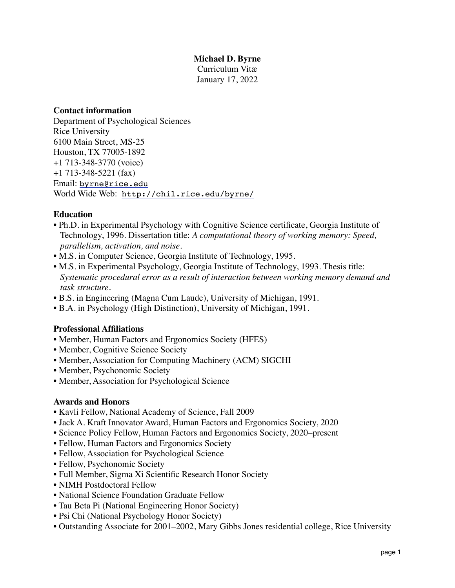# **Michael D. Byrne**

Curriculum Vitæ January 17, 2022

### **Contact information**

Department of Psychological Sciences Rice University 6100 Main Street, MS-25 Houston, TX 77005-1892 +1 713-348-3770 (voice) +1 713-348-5221 (fax) Email: [byrne@rice.edu](mailto:byrne@rice.edu) World Wide Web: <http://chil.rice.edu/byrne/>

# **Education**

- Ph.D. in Experimental Psychology with Cognitive Science certificate, Georgia Institute of Technology, 1996. Dissertation title: *A computational theory of working memory: Speed, parallelism, activation, and noise.*
- M.S. in Computer Science, Georgia Institute of Technology, 1995.
- M.S. in Experimental Psychology, Georgia Institute of Technology, 1993. Thesis title: *Systematic procedural error as a result of interaction between working memory demand and task structure.*
- B.S. in Engineering (Magna Cum Laude), University of Michigan, 1991.
- B.A. in Psychology (High Distinction), University of Michigan, 1991.

## **Professional Affiliations**

- Member, Human Factors and Ergonomics Society (HFES)
- Member, Cognitive Science Society
- Member, Association for Computing Machinery (ACM) SIGCHI
- Member, Psychonomic Society
- Member, Association for Psychological Science

## **Awards and Honors**

- Kavli Fellow, National Academy of Science, Fall 2009
- Jack A. Kraft Innovator Award, Human Factors and Ergonomics Society, 2020
- Science Policy Fellow, Human Factors and Ergonomics Society, 2020–present
- Fellow, Human Factors and Ergonomics Society
- Fellow, Association for Psychological Science
- Fellow, Psychonomic Society
- Full Member, Sigma Xi Scientific Research Honor Society
- NIMH Postdoctoral Fellow
- National Science Foundation Graduate Fellow
- Tau Beta Pi (National Engineering Honor Society)
- Psi Chi (National Psychology Honor Society)
- Outstanding Associate for 2001–2002, Mary Gibbs Jones residential college, Rice University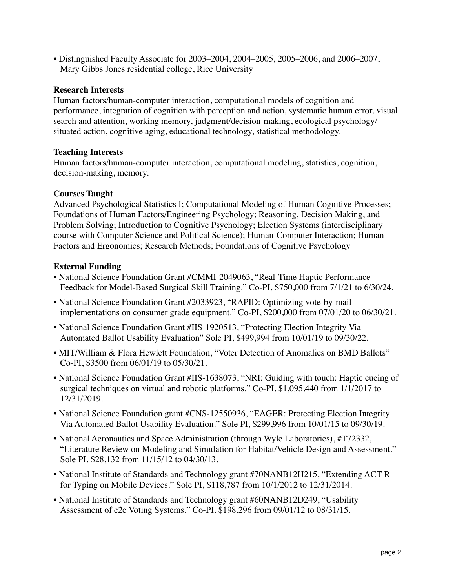• Distinguished Faculty Associate for 2003–2004, 2004–2005, 2005–2006, and 2006–2007, Mary Gibbs Jones residential college, Rice University

## **Research Interests**

Human factors/human-computer interaction, computational models of cognition and performance, integration of cognition with perception and action, systematic human error, visual search and attention, working memory, judgment/decision-making, ecological psychology/ situated action, cognitive aging, educational technology, statistical methodology.

## **Teaching Interests**

Human factors/human-computer interaction, computational modeling, statistics, cognition, decision-making, memory.

# **Courses Taught**

Advanced Psychological Statistics I; Computational Modeling of Human Cognitive Processes; Foundations of Human Factors/Engineering Psychology; Reasoning, Decision Making, and Problem Solving; Introduction to Cognitive Psychology; Election Systems (interdisciplinary course with Computer Science and Political Science); Human-Computer Interaction; Human Factors and Ergonomics; Research Methods; Foundations of Cognitive Psychology

# **External Funding**

- National Science Foundation Grant #CMMI-2049063, "Real-Time Haptic Performance Feedback for Model-Based Surgical Skill Training." Co-PI, \$750,000 from 7/1/21 to 6/30/24.
- National Science Foundation Grant #2033923, "RAPID: Optimizing vote-by-mail implementations on consumer grade equipment." Co-PI, \$200,000 from 07/01/20 to 06/30/21.
- National Science Foundation Grant #IIS-1920513, "Protecting Election Integrity Via Automated Ballot Usability Evaluation" Sole PI, \$499,994 from 10/01/19 to 09/30/22.
- MIT/William & Flora Hewlett Foundation, "Voter Detection of Anomalies on BMD Ballots" Co-PI, \$3500 from 06/01/19 to 05/30/21.
- National Science Foundation Grant #IIS-1638073, "NRI: Guiding with touch: Haptic cueing of surgical techniques on virtual and robotic platforms." Co-PI, \$1,095,440 from 1/1/2017 to 12/31/2019.
- National Science Foundation grant #CNS-12550936, "EAGER: Protecting Election Integrity Via Automated Ballot Usability Evaluation." Sole PI, \$299,996 from 10/01/15 to 09/30/19.
- National Aeronautics and Space Administration (through Wyle Laboratories), #T72332, "Literature Review on Modeling and Simulation for Habitat/Vehicle Design and Assessment." Sole PI, \$28,132 from 11/15/12 to 04/30/13.
- National Institute of Standards and Technology grant #70NANB12H215, "Extending ACT-R for Typing on Mobile Devices." Sole PI, \$118,787 from 10/1/2012 to 12/31/2014.
- National Institute of Standards and Technology grant #60NANB12D249, "Usability Assessment of e2e Voting Systems." Co-PI. \$198,296 from 09/01/12 to 08/31/15.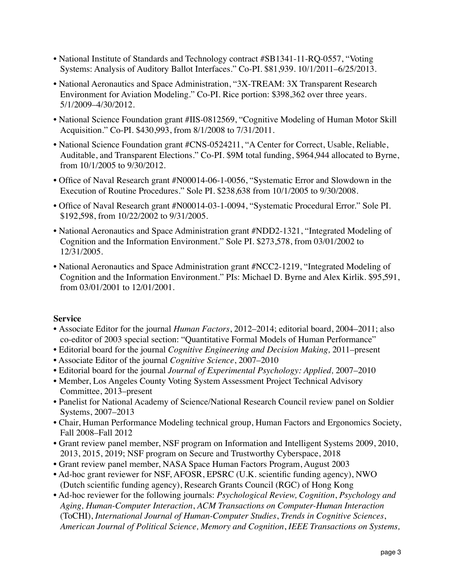- National Institute of Standards and Technology contract #SB1341-11-RQ-0557, "Voting Systems: Analysis of Auditory Ballot Interfaces." Co-PI. \$81,939. 10/1/2011–6/25/2013.
- National Aeronautics and Space Administration, "3X-TREAM: 3X Transparent Research Environment for Aviation Modeling." Co-PI. Rice portion: \$398,362 over three years. 5/1/2009–4/30/2012.
- National Science Foundation grant #IIS-0812569, "Cognitive Modeling of Human Motor Skill Acquisition." Co-PI. \$430,993, from 8/1/2008 to 7/31/2011.
- National Science Foundation grant #CNS-0524211, "A Center for Correct, Usable, Reliable, Auditable, and Transparent Elections." Co-PI. \$9M total funding, \$964,944 allocated to Byrne, from 10/1/2005 to 9/30/2012.
- Office of Naval Research grant #N00014-06-1-0056, "Systematic Error and Slowdown in the Execution of Routine Procedures." Sole PI. \$238,638 from 10/1/2005 to 9/30/2008.
- Office of Naval Research grant #N00014-03-1-0094, "Systematic Procedural Error." Sole PI. \$192,598, from 10/22/2002 to 9/31/2005.
- National Aeronautics and Space Administration grant #NDD2-1321, "Integrated Modeling of Cognition and the Information Environment." Sole PI. \$273,578, from 03/01/2002 to 12/31/2005.
- National Aeronautics and Space Administration grant #NCC2-1219, "Integrated Modeling of Cognition and the Information Environment." PIs: Michael D. Byrne and Alex Kirlik. \$95,591, from 03/01/2001 to 12/01/2001.

## **Service**

- Associate Editor for the journal *Human Factors*, 2012–2014; editorial board, 2004–2011; also co-editor of 2003 special section: "Quantitative Formal Models of Human Performance"
- Editorial board for the journal *Cognitive Engineering and Decision Making,* 2011–present
- Associate Editor of the journal *Cognitive Science*, 2007–2010
- Editorial board for the journal *Journal of Experimental Psychology: Applied,* 2007–2010
- • Member, Los Angeles County Voting System Assessment Project Technical Advisory Committee, 2013–present
- Panelist for National Academy of Science/National Research Council review panel on Soldier Systems, 2007–2013
- Chair, Human Performance Modeling technical group, Human Factors and Ergonomics Society, Fall 2008–Fall 2012
- Grant review panel member, NSF program on Information and Intelligent Systems 2009, 2010, 2013, 2015, 2019; NSF program on Secure and Trustworthy Cyberspace, 2018
- Grant review panel member, NASA Space Human Factors Program, August 2003
- Ad-hoc grant reviewer for NSF, AFOSR, EPSRC (U.K. scientific funding agency), NWO (Dutch scientific funding agency), Research Grants Council (RGC) of Hong Kong
- Ad-hoc reviewer for the following journals: *Psychological Review, Cognition*, *Psychology and Aging, Human-Computer Interaction*, *ACM Transactions on Computer-Human Interaction*  (ToCHI), *International Journal of Human-Computer Studies*, *Trends in Cognitive Sciences*, *American Journal of Political Science, Memory and Cognition*, *IEEE Transactions on Systems,*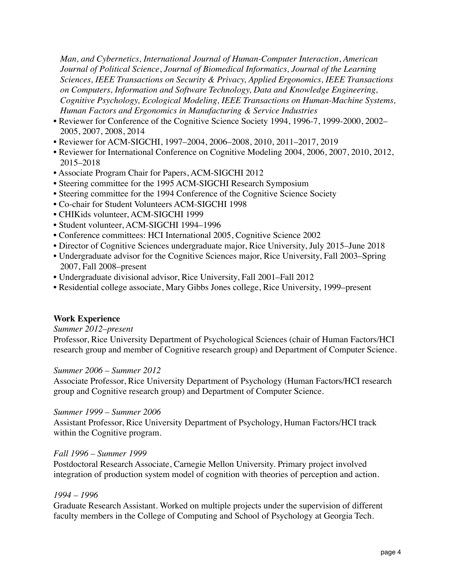*Man, and Cybernetics, International Journal of Human-Computer Interaction*, *American Journal of Political Science*, *Journal of Biomedical Informatics, Journal of the Learning Sciences, IEEE Transactions on Security & Privacy, Applied Ergonomics, IEEE Transactions on Computers, Information and Software Technology, Data and Knowledge Engineering, Cognitive Psychology, Ecological Modeling, IEEE Transactions on Human-Machine Systems, Human Factors and Ergonomics in Manufacturing & Service Industries*

- Reviewer for Conference of the Cognitive Science Society 1994, 1996-7, 1999-2000, 2002– 2005, 2007, 2008, 2014
- Reviewer for ACM-SIGCHI, 1997–2004, 2006–2008, 2010, 2011–2017, 2019
- Reviewer for International Conference on Cognitive Modeling 2004, 2006, 2007, 2010, 2012, 2015–2018
- Associate Program Chair for Papers, ACM-SIGCHI 2012
- Steering committee for the 1995 ACM-SIGCHI Research Symposium
- Steering committee for the 1994 Conference of the Cognitive Science Society
- Co-chair for Student Volunteers ACM-SIGCHI 1998
- CHIKids volunteer, ACM-SIGCHI 1999
- Student volunteer, ACM-SIGCHI 1994–1996
- Conference committees: HCI International 2005, Cognitive Science 2002
- Director of Cognitive Sciences undergraduate major, Rice University, July 2015–June 2018
- Undergraduate advisor for the Cognitive Sciences major, Rice University, Fall 2003–Spring 2007, Fall 2008–present
- Undergraduate divisional advisor, Rice University, Fall 2001–Fall 2012
- Residential college associate, Mary Gibbs Jones college, Rice University, 1999–present

## **Work Experience**

## *Summer 2012–present*

Professor, Rice University Department of Psychological Sciences (chair of Human Factors/HCI research group and member of Cognitive research group) and Department of Computer Science.

## *Summer 2006 – Summer 2012*

Associate Professor, Rice University Department of Psychology (Human Factors/HCI research group and Cognitive research group) and Department of Computer Science.

## *Summer 1999 – Summer 2006*

Assistant Professor, Rice University Department of Psychology, Human Factors/HCI track within the Cognitive program.

## *Fall 1996 – Summer 1999*

Postdoctoral Research Associate, Carnegie Mellon University. Primary project involved integration of production system model of cognition with theories of perception and action.

## *1994 – 1996*

Graduate Research Assistant. Worked on multiple projects under the supervision of different faculty members in the College of Computing and School of Psychology at Georgia Tech.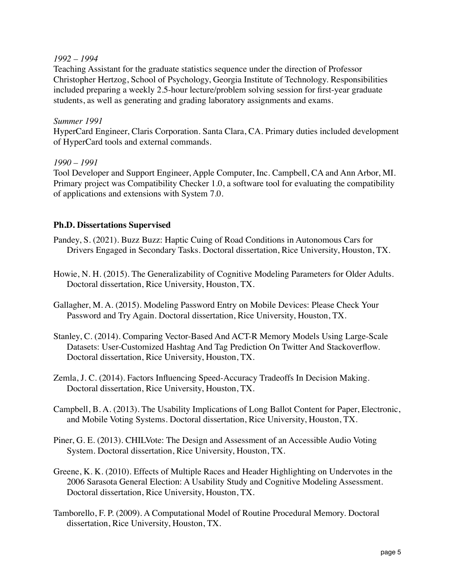## *1992 – 1994*

Teaching Assistant for the graduate statistics sequence under the direction of Professor Christopher Hertzog, School of Psychology, Georgia Institute of Technology. Responsibilities included preparing a weekly 2.5-hour lecture/problem solving session for first-year graduate students, as well as generating and grading laboratory assignments and exams.

## *Summer 1991*

HyperCard Engineer, Claris Corporation. Santa Clara, CA. Primary duties included development of HyperCard tools and external commands.

# *1990 – 1991*

Tool Developer and Support Engineer, Apple Computer, Inc. Campbell, CA and Ann Arbor, MI. Primary project was Compatibility Checker 1.0, a software tool for evaluating the compatibility of applications and extensions with System 7.0.

# **Ph.D. Dissertations Supervised**

Pandey, S. (2021). Buzz Buzz: Haptic Cuing of Road Conditions in Autonomous Cars for Drivers Engaged in Secondary Tasks. Doctoral dissertation, Rice University, Houston, TX.

Howie, N. H. (2015). The Generalizability of Cognitive Modeling Parameters for Older Adults. Doctoral dissertation, Rice University, Houston, TX.

Gallagher, M. A. (2015). Modeling Password Entry on Mobile Devices: Please Check Your Password and Try Again. Doctoral dissertation, Rice University, Houston, TX.

- Stanley, C. (2014). Comparing Vector-Based And ACT-R Memory Models Using Large-Scale Datasets: User-Customized Hashtag And Tag Prediction On Twitter And Stackoverflow. Doctoral dissertation, Rice University, Houston, TX.
- Zemla, J. C. (2014). Factors Influencing Speed-Accuracy Tradeoffs In Decision Making. Doctoral dissertation, Rice University, Houston, TX.
- Campbell, B. A. (2013). The Usability Implications of Long Ballot Content for Paper, Electronic, and Mobile Voting Systems. Doctoral dissertation, Rice University, Houston, TX.
- Piner, G. E. (2013). CHILVote: The Design and Assessment of an Accessible Audio Voting System. Doctoral dissertation, Rice University, Houston, TX.
- Greene, K. K. (2010). Effects of Multiple Races and Header Highlighting on Undervotes in the 2006 Sarasota General Election: A Usability Study and Cognitive Modeling Assessment. Doctoral dissertation, Rice University, Houston, TX.
- Tamborello, F. P. (2009). A Computational Model of Routine Procedural Memory. Doctoral dissertation, Rice University, Houston, TX.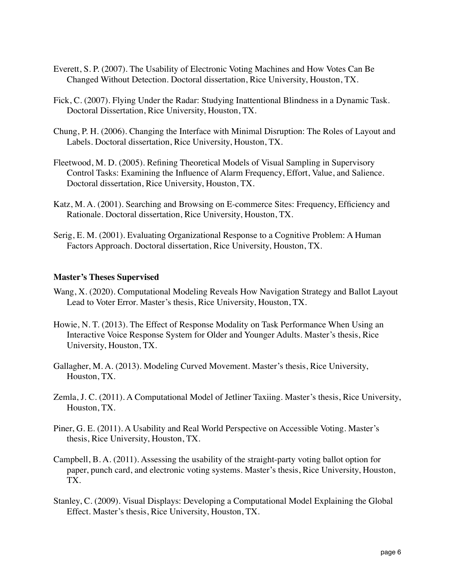- Everett, S. P. (2007). The Usability of Electronic Voting Machines and How Votes Can Be Changed Without Detection. Doctoral dissertation, Rice University, Houston, TX.
- Fick, C. (2007). Flying Under the Radar: Studying Inattentional Blindness in a Dynamic Task. Doctoral Dissertation, Rice University, Houston, TX.
- Chung, P. H. (2006). Changing the Interface with Minimal Disruption: The Roles of Layout and Labels. Doctoral dissertation, Rice University, Houston, TX.
- Fleetwood, M. D. (2005). Refining Theoretical Models of Visual Sampling in Supervisory Control Tasks: Examining the Influence of Alarm Frequency, Effort, Value, and Salience. Doctoral dissertation, Rice University, Houston, TX.
- Katz, M. A. (2001). Searching and Browsing on E-commerce Sites: Frequency, Efficiency and Rationale. Doctoral dissertation, Rice University, Houston, TX.
- Serig, E. M. (2001). Evaluating Organizational Response to a Cognitive Problem: A Human Factors Approach. Doctoral dissertation, Rice University, Houston, TX.

### **Master's Theses Supervised**

- Wang, X. (2020). Computational Modeling Reveals How Navigation Strategy and Ballot Layout Lead to Voter Error. Master's thesis, Rice University, Houston, TX.
- Howie, N. T. (2013). The Effect of Response Modality on Task Performance When Using an Interactive Voice Response System for Older and Younger Adults. Master's thesis, Rice University, Houston, TX.
- Gallagher, M. A. (2013). Modeling Curved Movement. Master's thesis, Rice University, Houston, TX.
- Zemla, J. C. (2011). A Computational Model of Jetliner Taxiing. Master's thesis, Rice University, Houston, TX.
- Piner, G. E. (2011). A Usability and Real World Perspective on Accessible Voting. Master's thesis, Rice University, Houston, TX.
- Campbell, B. A. (2011). Assessing the usability of the straight-party voting ballot option for paper, punch card, and electronic voting systems. Master's thesis, Rice University, Houston, TX.
- Stanley, C. (2009). Visual Displays: Developing a Computational Model Explaining the Global Effect. Master's thesis, Rice University, Houston, TX.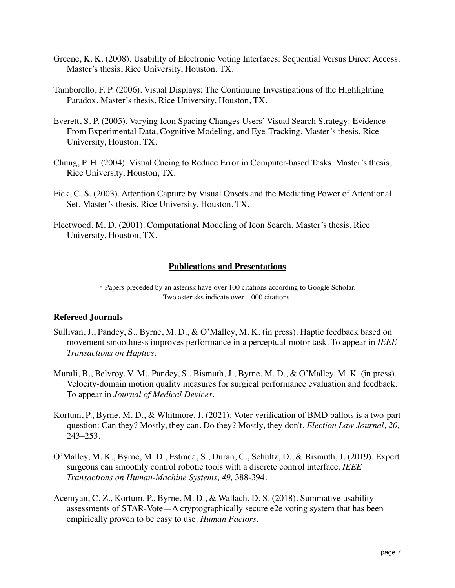- Greene, K. K. (2008). Usability of Electronic Voting Interfaces: Sequential Versus Direct Access. Master's thesis, Rice University, Houston, TX.
- Tamborello, F. P. (2006). Visual Displays: The Continuing Investigations of the Highlighting Paradox. Master's thesis, Rice University, Houston, TX.
- Everett, S. P. (2005). Varying Icon Spacing Changes Users' Visual Search Strategy: Evidence From Experimental Data, Cognitive Modeling, and Eye-Tracking. Master's thesis, Rice University, Houston, TX.
- Chung, P. H. (2004). Visual Cueing to Reduce Error in Computer-based Tasks. Master's thesis, Rice University, Houston, TX.
- Fick, C. S. (2003). Attention Capture by Visual Onsets and the Mediating Power of Attentional Set. Master's thesis, Rice University, Houston, TX.
- Fleetwood, M. D. (2001). Computational Modeling of Icon Search. Master's thesis, Rice University, Houston, TX.

## **Publications and Presentations**

\* Papers preceded by an asterisk have over 100 citations according to Google Scholar. Two asterisks indicate over 1,000 citations.

#### **Refereed Journals**

- Sullivan, J., Pandey, S., Byrne, M. D., & O'Malley, M. K. (in press). Haptic feedback based on movement smoothness improves performance in a perceptual-motor task. To appear in *IEEE Transactions on Haptics*.
- Murali, B., Belvroy, V. M., Pandey, S., Bismuth, J., Byrne, M. D., & O'Malley, M. K. (in press). Velocity-domain motion quality measures for surgical performance evaluation and feedback. To appear in *Journal of Medical Devices*.
- Kortum, P., Byrne, M. D., & Whitmore, J. (2021). Voter verification of BMD ballots is a two-part question: Can they? Mostly, they can. Do they? Mostly, they don't. *Election Law Journal, 20,*  243–253.
- O'Malley, M. K., Byrne, M. D., Estrada, S., Duran, C., Schultz, D., & Bismuth, J. (2019). Expert surgeons can smoothly control robotic tools with a discrete control interface. *IEEE Transactions on Human-Machine Systems, 49,* 388-394.
- Acemyan, C. Z., Kortum, P., Byrne, M. D., & Wallach, D. S. (2018). Summative usability assessments of STAR-Vote—A cryptographically secure e2e voting system that has been empirically proven to be easy to use. *Human Factors*.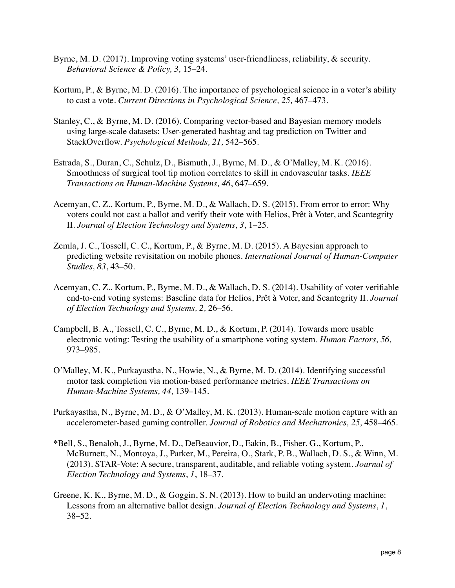- Byrne, M. D. (2017). Improving voting systems' user-friendliness, reliability, & security. *Behavioral Science & Policy, 3,* 15–24.
- Kortum, P., & Byrne, M. D. (2016). The importance of psychological science in a voter's ability to cast a vote. *Current Directions in Psychological Science, 25,* 467–473.
- Stanley, C., & Byrne, M. D. (2016). Comparing vector-based and Bayesian memory models using large-scale datasets: User-generated hashtag and tag prediction on Twitter and StackOverflow. *Psychological Methods, 21,* 542–565.
- Estrada, S., Duran, C., Schulz, D., Bismuth, J., Byrne, M. D., & O'Malley, M. K. (2016). Smoothness of surgical tool tip motion correlates to skill in endovascular tasks. *IEEE Transactions on Human-Machine Systems, 46*, 647–659.
- Acemyan, C. Z., Kortum, P., Byrne, M. D., & Wallach, D. S. (2015). From error to error: Why voters could not cast a ballot and verify their vote with Helios, Prêt à Voter, and Scantegrity II. *Journal of Election Technology and Systems, 3*, 1–25.
- Zemla, J. C., Tossell, C. C., Kortum, P., & Byrne, M. D. (2015). A Bayesian approach to predicting website revisitation on mobile phones. *International Journal of Human-Computer Studies, 83*, 43–50.
- Acemyan, C. Z., Kortum, P., Byrne, M. D., & Wallach, D. S. (2014). Usability of voter verifiable end-to-end voting systems: Baseline data for Helios, Prêt à Voter, and Scantegrity II. *Journal of Election Technology and Systems, 2,* 26–56.
- Campbell, B. A., Tossell, C. C., Byrne, M. D., & Kortum, P. (2014). Towards more usable electronic voting: Testing the usability of a smartphone voting system. *Human Factors, 56,*  973–985.
- O'Malley, M. K., Purkayastha, N., Howie, N., & Byrne, M. D. (2014). Identifying successful motor task completion via motion-based performance metrics. *IEEE Transactions on Human-Machine Systems, 44,* 139–145.
- Purkayastha, N., Byrne, M. D., & O'Malley, M. K. (2013). Human-scale motion capture with an accelerometer-based gaming controller. *Journal of Robotics and Mechatronics, 25,* 458–465.
- **\***Bell, S., Benaloh, J., Byrne, M. D., DeBeauvior, D., Eakin, B., Fisher, G., Kortum, P., McBurnett, N., Montoya, J., Parker, M., Pereira, O., Stark, P. B., Wallach, D. S., & Winn, M. (2013). STAR-Vote: A secure, transparent, auditable, and reliable voting system. *Journal of Election Technology and Systems*, *1*, 18–37.
- Greene, K. K., Byrne, M. D., & Goggin, S. N. (2013). How to build an undervoting machine: Lessons from an alternative ballot design. *Journal of Election Technology and Systems*, *1*, 38–52.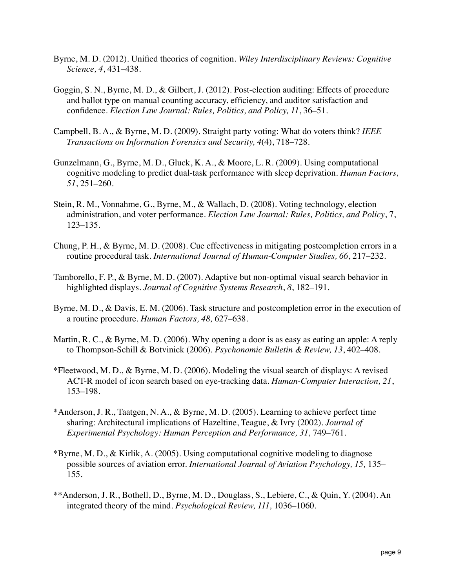- Byrne, M. D. (2012). Unified theories of cognition. *Wiley Interdisciplinary Reviews: Cognitive Science, 4*, 431–438.
- Goggin, S. N., Byrne, M. D., & Gilbert, J. (2012). Post-election auditing: Effects of procedure and ballot type on manual counting accuracy, efficiency, and auditor satisfaction and confidence. *Election Law Journal: Rules, Politics, and Policy, 11*, 36–51.
- Campbell, B. A., & Byrne, M. D. (2009). Straight party voting: What do voters think? *IEEE Transactions on Information Forensics and Security, 4*(4), 718–728.
- Gunzelmann, G., Byrne, M. D., Gluck, K. A., & Moore, L. R. (2009). Using computational cognitive modeling to predict dual-task performance with sleep deprivation. *Human Factors, 51*, 251–260.
- Stein, R. M., Vonnahme, G., Byrne, M., & Wallach, D. (2008). Voting technology, election administration, and voter performance. *Election Law Journal: Rules, Politics, and Policy*, 7, 123–135.
- Chung, P. H., & Byrne, M. D. (2008). Cue effectiveness in mitigating postcompletion errors in a routine procedural task. *International Journal of Human-Computer Studies, 66*, 217–232.
- Tamborello, F. P., & Byrne, M. D. (2007). Adaptive but non-optimal visual search behavior in highlighted displays. *Journal of Cognitive Systems Research*, *8*, 182–191.
- Byrne, M. D., & Davis, E. M. (2006). Task structure and postcompletion error in the execution of a routine procedure. *Human Factors, 48,* 627–638.
- Martin, R. C., & Byrne, M. D. (2006). Why opening a door is as easy as eating an apple: A reply to Thompson-Schill & Botvinick (2006). *Psychonomic Bulletin & Review, 13*, 402–408.
- \*Fleetwood, M. D., & Byrne, M. D. (2006). Modeling the visual search of displays: A revised ACT-R model of icon search based on eye-tracking data. *Human-Computer Interaction, 21*, 153–198.
- \*Anderson, J. R., Taatgen, N. A., & Byrne, M. D. (2005). Learning to achieve perfect time sharing: Architectural implications of Hazeltine, Teague, & Ivry (2002). *Journal of Experimental Psychology: Human Perception and Performance, 31,* 749–761.
- \*Byrne, M. D., & Kirlik, A. (2005). Using computational cognitive modeling to diagnose possible sources of aviation error. *International Journal of Aviation Psychology, 15,* 135– 155.
- \*\*Anderson, J. R., Bothell, D., Byrne, M. D., Douglass, S., Lebiere, C., & Quin, Y. (2004). An integrated theory of the mind. *Psychological Review, 111,* 1036–1060.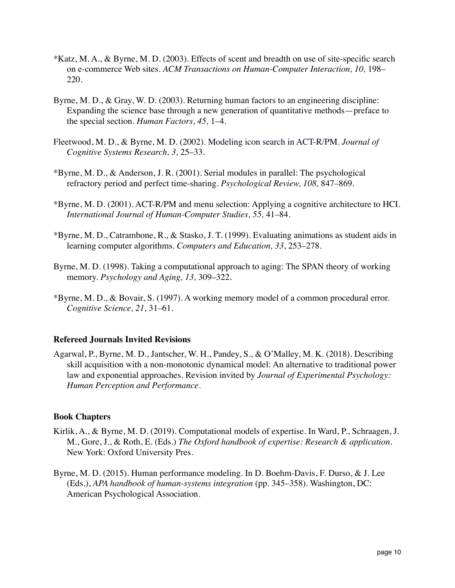- \*Katz, M. A., & Byrne, M. D. (2003). Effects of scent and breadth on use of site-specific search on e-commerce Web sites. *ACM Transactions on Human-Computer Interaction, 10,* 198– 220.
- Byrne, M. D., & Gray, W. D. (2003). Returning human factors to an engineering discipline: Expanding the science base through a new generation of quantitative methods—preface to the special section. *Human Factors, 45,* 1–4.
- Fleetwood, M. D., & Byrne, M. D. (2002). Modeling icon search in ACT-R/PM. *Journal of Cognitive Systems Research, 3,* 25–33.
- \*Byrne, M. D., & Anderson, J. R. (2001). Serial modules in parallel: The psychological refractory period and perfect time-sharing. *Psychological Review, 108,* 847–869.
- \*Byrne, M. D. (2001). ACT-R/PM and menu selection: Applying a cognitive architecture to HCI. *International Journal of Human-Computer Studies, 55,* 41–84.
- \*Byrne, M. D., Catrambone, R., & Stasko, J. T. (1999). Evaluating animations as student aids in learning computer algorithms. *Computers and Education, 33*, 253–278.
- Byrne, M. D. (1998). Taking a computational approach to aging: The SPAN theory of working memory. *Psychology and Aging, 13,* 309–322.
- \*Byrne, M. D., & Bovair, S. (1997). A working memory model of a common procedural error. *Cognitive Science, 21,* 31–61.

## **Refereed Journals Invited Revisions**

Agarwal, P., Byrne, M. D., Jantscher, W. H., Pandey, S., & O'Malley, M. K. (2018). Describing skill acquisition with a non-monotonic dynamical model: An alternative to traditional power law and exponential approaches. Revision invited by *Journal of Experimental Psychology: Human Perception and Performance*.

#### **Book Chapters**

- Kirlik, A., & Byrne, M. D. (2019). Computational models of expertise. In Ward, P., Schraagen, J. M., Gore, J., & Roth, E. (Eds.) *The Oxford handbook of expertise: Research & application*. New York: Oxford University Pres.
- Byrne, M. D. (2015). Human performance modeling. In D. Boehm-Davis, F. Durso, & J. Lee (Eds.), *APA handbook of human-systems integration* (pp. 345–358). Washington, DC: American Psychological Association.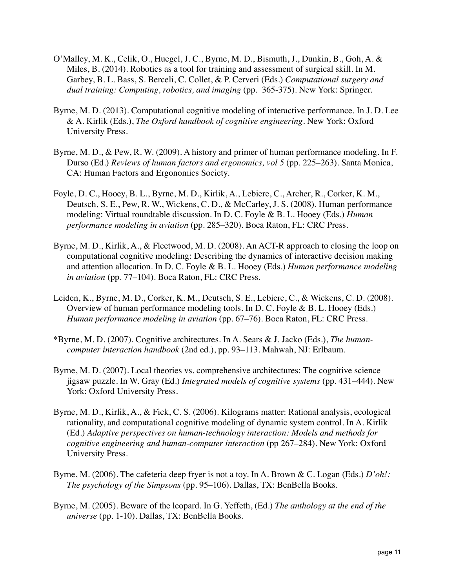- O'Malley, M. K., Celik, O., Huegel, J. C., Byrne, M. D., Bismuth, J., Dunkin, B., Goh, A. & Miles, B. (2014). Robotics as a tool for training and assessment of surgical skill. In M. Garbey, B. L. Bass, S. Berceli, C. Collet, & P. Cerveri (Eds.) *Computational surgery and dual training: Computing, robotics, and imaging* (pp. 365-375). New York: Springer.
- Byrne, M. D. (2013). Computational cognitive modeling of interactive performance. In J. D. Lee & A. Kirlik (Eds.), *The Oxford handbook of cognitive engineering*. New York: Oxford University Press.
- Byrne, M. D., & Pew, R. W. (2009). A history and primer of human performance modeling. In F. Durso (Ed.) *Reviews of human factors and ergonomics, vol 5* (pp. 225–263). Santa Monica, CA: Human Factors and Ergonomics Society.
- Foyle, D. C., Hooey, B. L., Byrne, M. D., Kirlik, A., Lebiere, C., Archer, R., Corker, K. M., Deutsch, S. E., Pew, R. W., Wickens, C. D., & McCarley, J. S. (2008). Human performance modeling: Virtual roundtable discussion. In D. C. Foyle & B. L. Hooey (Eds.) *Human performance modeling in aviation* (pp. 285–320). Boca Raton, FL: CRC Press.
- Byrne, M. D., Kirlik, A., & Fleetwood, M. D. (2008). An ACT-R approach to closing the loop on computational cognitive modeling: Describing the dynamics of interactive decision making and attention allocation. In D. C. Foyle & B. L. Hooey (Eds.) *Human performance modeling in aviation* (pp. 77–104). Boca Raton, FL: CRC Press.
- Leiden, K., Byrne, M. D., Corker, K. M., Deutsch, S. E., Lebiere, C., & Wickens, C. D. (2008). Overview of human performance modeling tools. In D. C. Foyle & B. L. Hooey (Eds.) *Human performance modeling in aviation* (pp. 67–76). Boca Raton, FL: CRC Press.
- \*Byrne, M. D. (2007). Cognitive architectures. In A. Sears & J. Jacko (Eds.), *The humancomputer interaction handbook* (2nd ed.), pp. 93–113. Mahwah, NJ: Erlbaum.
- Byrne, M. D. (2007). Local theories vs. comprehensive architectures: The cognitive science jigsaw puzzle. In W. Gray (Ed.) *Integrated models of cognitive systems* (pp. 431–444). New York: Oxford University Press.
- Byrne, M. D., Kirlik, A., & Fick, C. S. (2006). Kilograms matter: Rational analysis, ecological rationality, and computational cognitive modeling of dynamic system control. In A. Kirlik (Ed.) *Adaptive perspectives on human-technology interaction: Models and methods for cognitive engineering and human-computer interaction (pp 267–284).* New York: Oxford University Press.
- Byrne, M. (2006). The cafeteria deep fryer is not a toy. In A. Brown & C. Logan (Eds.) *D'oh!: The psychology of the Simpsons* (pp. 95–106). Dallas, TX: BenBella Books.
- Byrne, M. (2005). Beware of the leopard. In G. Yeffeth, (Ed.) *The anthology at the end of the universe* (pp. 1-10)*.* Dallas, TX: BenBella Books.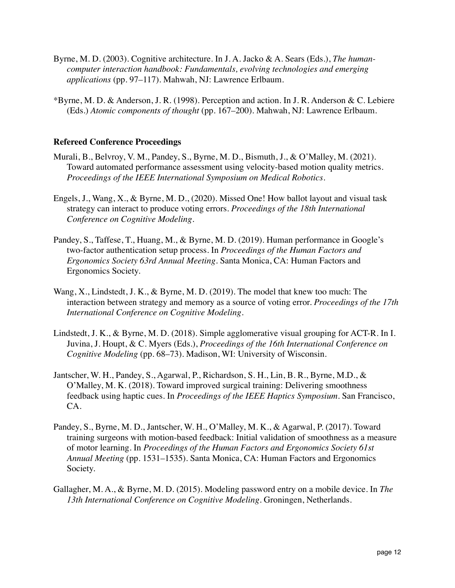- Byrne, M. D. (2003). Cognitive architecture. In J. A. Jacko & A. Sears (Eds.), *The humancomputer interaction handbook: Fundamentals, evolving technologies and emerging applications* (pp. 97–117). Mahwah, NJ: Lawrence Erlbaum.
- \*Byrne, M. D. & Anderson, J. R. (1998). Perception and action. In J. R. Anderson & C. Lebiere (Eds.) *Atomic components of thought* (pp. 167–200)*.* Mahwah, NJ: Lawrence Erlbaum.

#### **Refereed Conference Proceedings**

- Murali, B., Belvroy, V. M., Pandey, S., Byrne, M. D., Bismuth, J., & O'Malley, M. (2021). Toward automated performance assessment using velocity-based motion quality metrics. *Proceedings of the IEEE International Symposium on Medical Robotics*.
- Engels, J., Wang, X., & Byrne, M. D., (2020). Missed One! How ballot layout and visual task strategy can interact to produce voting errors. *Proceedings of the 18th International Conference on Cognitive Modeling.*
- Pandey, S., Taffese, T., Huang, M., & Byrne, M. D. (2019). Human performance in Google's two-factor authentication setup process. In *Proceedings of the Human Factors and Ergonomics Society 63rd Annual Meeting*. Santa Monica, CA: Human Factors and Ergonomics Society.
- Wang, X., Lindstedt, J. K., & Byrne, M. D. (2019). The model that knew too much: The interaction between strategy and memory as a source of voting error. *Proceedings of the 17th International Conference on Cognitive Modeling.*
- Lindstedt, J. K., & Byrne, M. D. (2018). Simple agglomerative visual grouping for ACT-R. In I. Juvina, J. Houpt, & C. Myers (Eds.), *Proceedings of the 16th International Conference on Cognitive Modeling* (pp. 68–73). Madison, WI: University of Wisconsin.
- Jantscher, W. H., Pandey, S., Agarwal, P., Richardson, S. H., Lin, B. R., Byrne, M.D., & O'Malley, M. K. (2018). Toward improved surgical training: Delivering smoothness feedback using haptic cues. In *Proceedings of the IEEE Haptics Symposium*. San Francisco, CA.
- Pandey, S., Byrne, M. D., Jantscher, W. H., O'Malley, M. K., & Agarwal, P. (2017). Toward training surgeons with motion-based feedback: Initial validation of smoothness as a measure of motor learning. In *Proceedings of the Human Factors and Ergonomics Society 61st Annual Meeting* (pp. 1531–1535). Santa Monica, CA: Human Factors and Ergonomics Society.
- Gallagher, M. A., & Byrne, M. D. (2015). Modeling password entry on a mobile device. In *The 13th International Conference on Cognitive Modeling.* Groningen, Netherlands.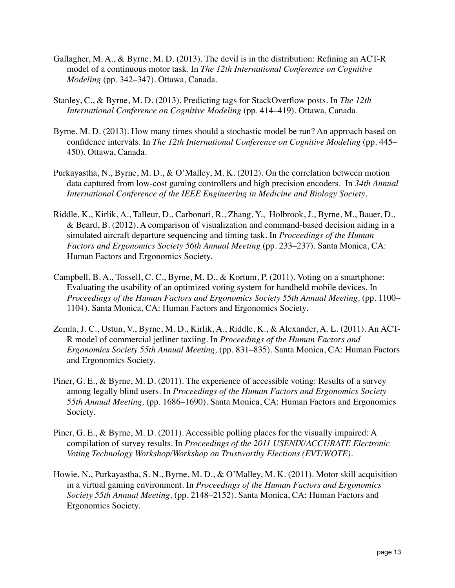- Gallagher, M. A., & Byrne, M. D. (2013). The devil is in the distribution: Refining an ACT-R model of a continuous motor task. In *The 12th International Conference on Cognitive Modeling* (pp. 342–347). Ottawa, Canada.
- Stanley, C., & Byrne, M. D. (2013). Predicting tags for StackOverflow posts. In *The 12th International Conference on Cognitive Modeling* (pp. 414–419). Ottawa, Canada.
- Byrne, M. D. (2013). How many times should a stochastic model be run? An approach based on confidence intervals. In *The 12th International Conference on Cognitive Modeling* (pp. 445– 450). Ottawa, Canada.
- Purkayastha, N., Byrne, M. D., & O'Malley, M. K. (2012). On the correlation between motion data captured from low-cost gaming controllers and high precision encoders. In *34th Annual International Conference of the IEEE Engineering in Medicine and Biology Society*.
- Riddle, K., Kirlik, A., Talleur, D., Carbonari, R., Zhang, Y., Holbrook, J., Byrne, M., Bauer, D., & Beard, B. (2012). A comparison of visualization and command-based decision aiding in a simulated aircraft departure sequencing and timing task. In *Proceedings of the Human Factors and Ergonomics Society 56th Annual Meeting (pp. 233–237). Santa Monica, CA:* Human Factors and Ergonomics Society.
- Campbell, B. A., Tossell, C. C., Byrne, M. D., & Kortum, P. (2011). Voting on a smartphone: Evaluating the usability of an optimized voting system for handheld mobile devices. In *Proceedings of the Human Factors and Ergonomics Society 55th Annual Meeting,* (pp. 1100– 1104)*.* Santa Monica, CA: Human Factors and Ergonomics Society.
- Zemla, J. C., Ustun, V., Byrne, M. D., Kirlik, A., Riddle, K., & Alexander, A. L. (2011). An ACT-R model of commercial jetliner taxiing. In *Proceedings of the Human Factors and Ergonomics Society 55th Annual Meeting,* (pp. 831–835). Santa Monica, CA: Human Factors and Ergonomics Society.
- Piner, G. E., & Byrne, M. D. (2011). The experience of accessible voting: Results of a survey among legally blind users. In *Proceedings of the Human Factors and Ergonomics Society 55th Annual Meeting,* (pp. 1686–1690)*.* Santa Monica, CA: Human Factors and Ergonomics Society.
- Piner, G. E., & Byrne, M. D. (2011). Accessible polling places for the visually impaired: A compilation of survey results. In *Proceedings of the 2011 USENIX/ACCURATE Electronic Voting Technology Workshop/Workshop on Trustworthy Elections (EVT/WOTE)*.
- Howie, N., Purkayastha, S. N., Byrne, M. D., & O'Malley, M. K. (2011). Motor skill acquisition in a virtual gaming environment. In *Proceedings of the Human Factors and Ergonomics Society 55th Annual Meeting,* (pp. 2148–2152). Santa Monica, CA: Human Factors and Ergonomics Society.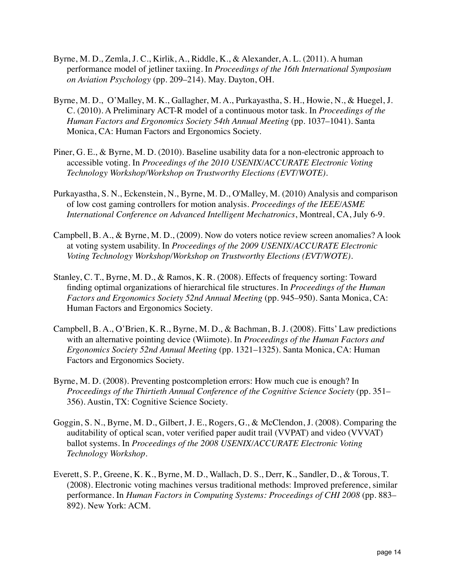- Byrne, M. D., Zemla, J. C., Kirlik, A., Riddle, K., & Alexander, A. L. (2011). A human performance model of jetliner taxiing. In *Proceedings of the 16th International Symposium on Aviation Psychology* (pp. 209–214). May. Dayton, OH.
- Byrne, M. D., O'Malley, M. K., Gallagher, M. A., Purkayastha, S. H., Howie, N., & Huegel, J. C. (2010). A Preliminary ACT-R model of a continuous motor task. In *Proceedings of the Human Factors and Ergonomics Society 54th Annual Meeting (pp. 1037–1041). Santa* Monica, CA: Human Factors and Ergonomics Society.
- Piner, G. E., & Byrne, M. D. (2010). Baseline usability data for a non-electronic approach to accessible voting. In *Proceedings of the 2010 USENIX/ACCURATE Electronic Voting Technology Workshop/Workshop on Trustworthy Elections (EVT/WOTE)*.
- Purkayastha, S. N., Eckenstein, N., Byrne, M. D., O'Malley, M. (2010) Analysis and comparison of low cost gaming controllers for motion analysis. *Proceedings of the IEEE/ASME International Conference on Advanced Intelligent Mechatronics*, Montreal, CA, July 6-9.
- Campbell, B. A., & Byrne, M. D., (2009). Now do voters notice review screen anomalies? A look at voting system usability. In *Proceedings of the 2009 USENIX/ACCURATE Electronic Voting Technology Workshop/Workshop on Trustworthy Elections (EVT/WOTE)*.
- Stanley, C. T., Byrne, M. D., & Ramos, K. R. (2008). Effects of frequency sorting: Toward finding optimal organizations of hierarchical file structures. In *Proceedings of the Human Factors and Ergonomics Society 52nd Annual Meeting* (pp. 945–950)*.* Santa Monica, CA: Human Factors and Ergonomics Society.
- Campbell, B. A., O'Brien, K. R., Byrne, M. D., & Bachman, B. J. (2008). Fitts' Law predictions with an alternative pointing device (Wiimote). In *Proceedings of the Human Factors and Ergonomics Society 52nd Annual Meeting* (pp. 1321–1325)*.* Santa Monica, CA: Human Factors and Ergonomics Society.
- Byrne, M. D. (2008). Preventing postcompletion errors: How much cue is enough? In *Proceedings of the Thirtieth Annual Conference of the Cognitive Science Society* (pp. 351– 356). Austin, TX: Cognitive Science Society.
- Goggin, S. N., Byrne, M. D., Gilbert, J. E., Rogers, G., & McClendon, J. (2008). Comparing the auditability of optical scan, voter verified paper audit trail (VVPAT) and video (VVVAT) ballot systems. In *Proceedings of the 2008 USENIX/ACCURATE Electronic Voting Technology Workshop.*
- 892). New York: ACM. Everett, S. P., Greene, K. K., Byrne, M. D., Wallach, D. S., Derr, K., Sandler, D., & Torous, T. (2008). Electronic voting machines versus traditional methods: Improved preference, similar performance. In *Human Factors in Computing Systems: Proceedings of CHI 2008* (pp. 883–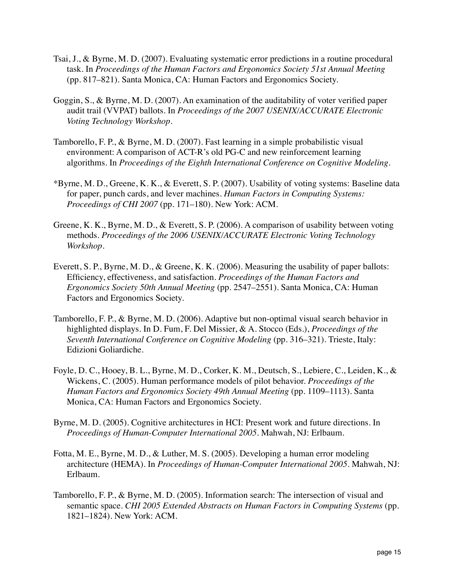- Tsai, J., & Byrne, M. D. (2007). Evaluating systematic error predictions in a routine procedural task. In *Proceedings of the Human Factors and Ergonomics Society 51st Annual Meeting*  (pp. 817–821)*.* Santa Monica, CA: Human Factors and Ergonomics Society.
- Goggin, S., & Byrne, M. D. (2007). An examination of the auditability of voter verified paper audit trail (VVPAT) ballots. In *Proceedings of the 2007 USENIX/ACCURATE Electronic Voting Technology Workshop.*
- Tamborello, F. P., & Byrne, M. D. (2007). Fast learning in a simple probabilistic visual environment: A comparison of ACT-R's old PG-C and new reinforcement learning algorithms. In *Proceedings of the Eighth International Conference on Cognitive Modeling*.
- *Proceedings of CHI 2007* (pp. 171–180). New York: ACM. \*Byrne, M. D., Greene, K. K., & Everett, S. P. (2007). Usability of voting systems: Baseline data for paper, punch cards, and lever machines. *Human Factors in Computing Systems:*
- Greene, K. K., Byrne, M. D., & Everett, S. P. (2006). A comparison of usability between voting methods. *Proceedings of the 2006 USENIX/ACCURATE Electronic Voting Technology Workshop*.
- Everett, S. P., Byrne, M. D., & Greene, K. K. (2006). Measuring the usability of paper ballots: Efficiency, effectiveness, and satisfaction. *Proceedings of the Human Factors and Ergonomics Society 50th Annual Meeting* (pp. 2547–2551). Santa Monica, CA: Human Factors and Ergonomics Society.
- Tamborello, F. P., & Byrne, M. D. (2006). Adaptive but non-optimal visual search behavior in highlighted displays. In D. Fum, F. Del Missier, & A. Stocco (Eds.), *Proceedings of the Seventh International Conference on Cognitive Modeling* (pp. 316–321). Trieste, Italy: Edizioni Goliardiche.
- Foyle, D. C., Hooey, B. L., Byrne, M. D., Corker, K. M., Deutsch, S., Lebiere, C., Leiden, K., & Wickens, C. (2005). Human performance models of pilot behavior. *Proceedings of the Human Factors and Ergonomics Society 49th Annual Meeting* (pp. 1109–1113). Santa Monica, CA: Human Factors and Ergonomics Society.
- Byrne, M. D. (2005). Cognitive architectures in HCI: Present work and future directions. In *Proceedings of Human-Computer International 2005*. Mahwah, NJ: Erlbaum.
- Fotta, M. E., Byrne, M. D., & Luther, M. S. (2005). Developing a human error modeling architecture (HEMA). In *Proceedings of Human-Computer International 2005*. Mahwah, NJ: Erlbaum.
- 1821–1824). New York: ACM. Tamborello, F. P., & Byrne, M. D. (2005). Information search: The intersection of visual and semantic space. *CHI 2005 Extended Abstracts on Human Factors in Computing Systems* (pp.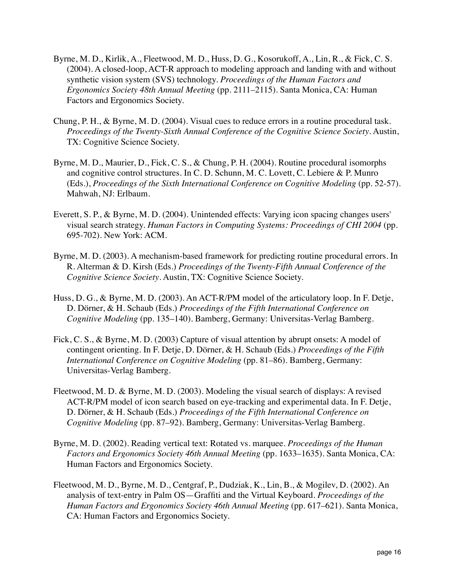- Byrne, M. D., Kirlik, A., Fleetwood, M. D., Huss, D. G., Kosorukoff, A., Lin, R., & Fick, C. S. (2004). A closed-loop, ACT-R approach to modeling approach and landing with and without synthetic vision system (SVS) technology. *Proceedings of the Human Factors and Ergonomics Society 48th Annual Meeting* (pp. 2111–2115). Santa Monica, CA: Human Factors and Ergonomics Society.
- Chung, P. H., & Byrne, M. D. (2004). Visual cues to reduce errors in a routine procedural task. *Proceedings of the Twenty-Sixth Annual Conference of the Cognitive Science Society*. Austin, TX: Cognitive Science Society.
- Byrne, M. D., Maurier, D., Fick, C. S., & Chung, P. H. (2004). Routine procedural isomorphs and cognitive control structures. In C. D. Schunn, M. C. Lovett, C. Lebiere & P. Munro (Eds.), *Proceedings of the Sixth International Conference on Cognitive Modeling* (pp. 52-57). Mahwah, NJ: Erlbaum.
- 695-702). New York: ACM. Everett, S. P., & Byrne, M. D. (2004). Unintended effects: Varying icon spacing changes users' visual search strategy. *Human Factors in Computing Systems: Proceedings of CHI 2004* (pp.
- Byrne, M. D. (2003). A mechanism-based framework for predicting routine procedural errors. In R. Alterman & D. Kirsh (Eds.) *Proceedings of the Twenty-Fifth Annual Conference of the Cognitive Science Society*. Austin, TX: Cognitive Science Society.
- Huss, D. G., & Byrne, M. D. (2003). An ACT-R/PM model of the articulatory loop. In F. Detje, D. Dörner, & H. Schaub (Eds.) *Proceedings of the Fifth International Conference on Cognitive Modeling* (pp. 135–140). Bamberg, Germany: Universitas-Verlag Bamberg.
- Fick, C. S., & Byrne, M. D. (2003) Capture of visual attention by abrupt onsets: A model of contingent orienting. In F. Detje, D. Dörner, & H. Schaub (Eds.) *Proceedings of the Fifth International Conference on Cognitive Modeling* (pp. 81–86). Bamberg, Germany: Universitas-Verlag Bamberg.
- Fleetwood, M. D. & Byrne, M. D. (2003). Modeling the visual search of displays: A revised ACT-R/PM model of icon search based on eye-tracking and experimental data. In F. Detje, D. Dörner, & H. Schaub (Eds.) *Proceedings of the Fifth International Conference on Cognitive Modeling* (pp. 87–92). Bamberg, Germany: Universitas-Verlag Bamberg.
- Byrne, M. D. (2002). Reading vertical text: Rotated vs. marquee. *Proceedings of the Human Factors and Ergonomics Society 46th Annual Meeting (pp. 1633–1635). Santa Monica, CA:* Human Factors and Ergonomics Society.
- Fleetwood, M. D., Byrne, M. D., Centgraf, P., Dudziak, K., Lin, B., & Mogilev, D. (2002). An analysis of text-entry in Palm OS—Graffiti and the Virtual Keyboard. *Proceedings of the Human Factors and Ergonomics Society 46th Annual Meeting* (pp. 617–621). Santa Monica, CA: Human Factors and Ergonomics Society.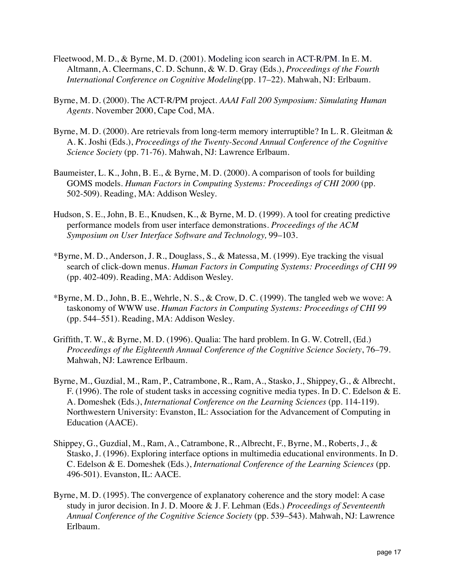- Fleetwood, M. D., & Byrne, M. D. (2001). Modeling icon search in ACT-R/PM. In E. M. Altmann, A. Cleermans, C. D. Schunn, & W. D. Gray (Eds.), *Proceedings of the Fourth International Conference on Cognitive Modeling*(pp. 17–22). Mahwah, NJ: Erlbaum.
- Byrne, M. D. (2000). The ACT-R/PM project. *AAAI Fall 200 Symposium: Simulating Human Agents.* November 2000, Cape Cod, MA.
- Byrne, M. D. (2000). Are retrievals from long-term memory interruptible? In L. R. Gleitman & A. K. Joshi (Eds.), *Proceedings of the Twenty-Second Annual Conference of the Cognitive Science Society* (pp. 71-76). Mahwah, NJ: Lawrence Erlbaum.
- Baumeister, L. K., John, B. E., & Byrne, M. D. (2000). A comparison of tools for building GOMS models. *Human Factors in Computing Systems: Proceedings of CHI 2000* (pp. 502-509). Reading, MA: Addison Wesley.
- Hudson, S. E., John, B. E., Knudsen, K., & Byrne, M. D. (1999). A tool for creating predictive performance models from user interface demonstrations. *Proceedings of the ACM Symposium on User Interface Software and Technology,* 99–103.
- \*Byrne, M. D., Anderson, J. R., Douglass, S., & Matessa, M. (1999). Eye tracking the visual search of click-down menus. *Human Factors in Computing Systems: Proceedings of CHI 99* (pp. 402-409). Reading, MA: Addison Wesley.
- \*Byrne, M. D., John, B. E., Wehrle, N. S., & Crow, D. C. (1999). The tangled web we wove: A taskonomy of WWW use. *Human Factors in Computing Systems: Proceedings of CHI 99* (pp. 544–551). Reading, MA: Addison Wesley.
- Griffith, T. W., & Byrne, M. D. (1996). Qualia: The hard problem. In G. W. Cotrell, (Ed.) *Proceedings of the Eighteenth Annual Conference of the Cognitive Science Society*, 76–79. Mahwah, NJ: Lawrence Erlbaum.
- Byrne, M., Guzdial, M., Ram, P., Catrambone, R., Ram, A., Stasko, J., Shippey, G., & Albrecht, F. (1996). The role of student tasks in accessing cognitive media types. In D. C. Edelson & E. A. Domeshek (Eds.), *International Conference on the Learning Sciences* (pp. 114-119). Northwestern University: Evanston, IL: Association for the Advancement of Computing in Education (AACE).
- Shippey, G., Guzdial, M., Ram, A., Catrambone, R., Albrecht, F., Byrne, M., Roberts, J., & Stasko, J. (1996). Exploring interface options in multimedia educational environments. In D. C. Edelson & E. Domeshek (Eds.), *International Conference of the Learning Sciences* (pp. 496-501). Evanston, IL: AACE.
- Byrne, M. D. (1995). The convergence of explanatory coherence and the story model: A case study in juror decision. In J. D. Moore & J. F. Lehman (Eds.) *Proceedings of Seventeenth Annual Conference of the Cognitive Science Society* (pp. 539–543). Mahwah, NJ: Lawrence Erlbaum.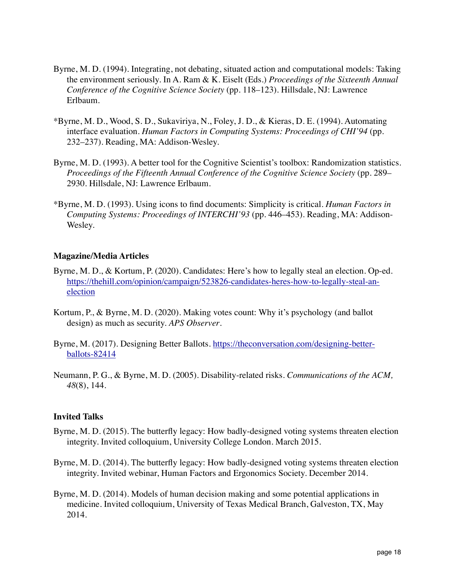- Byrne, M. D. (1994). Integrating, not debating, situated action and computational models: Taking the environment seriously. In A. Ram & K. Eiselt (Eds.) *Proceedings of the Sixteenth Annual Conference of the Cognitive Science Society* (pp. 118–123). Hillsdale, NJ: Lawrence Erlbaum.
- \*Byrne, M. D., Wood, S. D., Sukaviriya, N., Foley, J. D., & Kieras, D. E. (1994). Automating interface evaluation. *Human Factors in Computing Systems: Proceedings of CHI'94* (pp. 232–237). Reading, MA: Addison-Wesley.
- Byrne, M. D. (1993). A better tool for the Cognitive Scientist's toolbox: Randomization statistics. *Proceedings of the Fifteenth Annual Conference of the Cognitive Science Society* (pp. 289– 2930. Hillsdale, NJ: Lawrence Erlbaum.
- \*Byrne, M. D. (1993). Using icons to find documents: Simplicity is critical. *Human Factors in Computing Systems: Proceedings of INTERCHI'93* (pp. 446–453). Reading, MA: Addison-Wesley.

## **Magazine/Media Articles**

- election Byrne, M. D., & Kortum, P. (2020). Candidates: Here's how to legally steal an election. Op-ed. [https://thehill.com/opinion/campaign/523826-candidates-heres-how-to-legally-steal-an-](https://thehill.com/opinion/campaign/523826-candidates-heres-how-to-legally-steal-an-election)
- Kortum, P., & Byrne, M. D. (2020). Making votes count: Why it's psychology (and ballot design) as much as security. *APS Observer*.
- Byrne, M. (2017). Designing Better Ballots. [https://theconversation.com/designing-better](https://theconversation.com/designing-better-ballots-82414)[ballots-82414](https://theconversation.com/designing-better-ballots-82414)
- Neumann, P. G., & Byrne, M. D. (2005). Disability-related risks. *Communications of the ACM, 48*(8), 144.

#### **Invited Talks**

- Byrne, M. D. (2015). The butterfly legacy: How badly-designed voting systems threaten election integrity. Invited colloquium, University College London. March 2015.
- Byrne, M. D. (2014). The butterfly legacy: How badly-designed voting systems threaten election integrity. Invited webinar, Human Factors and Ergonomics Society. December 2014.
- Byrne, M. D. (2014). Models of human decision making and some potential applications in medicine. Invited colloquium, University of Texas Medical Branch, Galveston, TX, May 2014.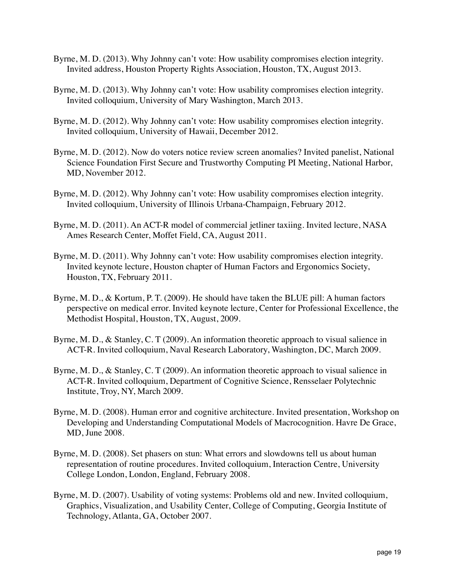- Byrne, M. D. (2013). Why Johnny can't vote: How usability compromises election integrity. Invited address, Houston Property Rights Association, Houston, TX, August 2013.
- Byrne, M. D. (2013). Why Johnny can't vote: How usability compromises election integrity. Invited colloquium, University of Mary Washington, March 2013.
- Byrne, M. D. (2012). Why Johnny can't vote: How usability compromises election integrity. Invited colloquium, University of Hawaii, December 2012.
- Byrne, M. D. (2012). Now do voters notice review screen anomalies? Invited panelist, National Science Foundation First Secure and Trustworthy Computing PI Meeting, National Harbor, MD, November 2012.
- Byrne, M. D. (2012). Why Johnny can't vote: How usability compromises election integrity. Invited colloquium, University of Illinois Urbana-Champaign, February 2012.
- Byrne, M. D. (2011). An ACT-R model of commercial jetliner taxiing. Invited lecture, NASA Ames Research Center, Moffet Field, CA, August 2011.
- Byrne, M. D. (2011). Why Johnny can't vote: How usability compromises election integrity. Invited keynote lecture, Houston chapter of Human Factors and Ergonomics Society, Houston, TX, February 2011.
- Byrne, M. D., & Kortum, P. T. (2009). He should have taken the BLUE pill: A human factors perspective on medical error. Invited keynote lecture, Center for Professional Excellence, the Methodist Hospital, Houston, TX, August, 2009.
- Byrne, M. D., & Stanley, C. T (2009). An information theoretic approach to visual salience in ACT-R. Invited colloquium, Naval Research Laboratory, Washington, DC, March 2009.
- Byrne, M. D., & Stanley, C. T (2009). An information theoretic approach to visual salience in ACT-R. Invited colloquium, Department of Cognitive Science, Rensselaer Polytechnic Institute, Troy, NY, March 2009.
- Byrne, M. D. (2008). Human error and cognitive architecture. Invited presentation, Workshop on Developing and Understanding Computational Models of Macrocognition. Havre De Grace, MD, June 2008.
- Byrne, M. D. (2008). Set phasers on stun: What errors and slowdowns tell us about human representation of routine procedures. Invited colloquium, Interaction Centre, University College London, London, England, February 2008.
- Byrne, M. D. (2007). Usability of voting systems: Problems old and new. Invited colloquium, Graphics, Visualization, and Usability Center, College of Computing, Georgia Institute of Technology, Atlanta, GA, October 2007.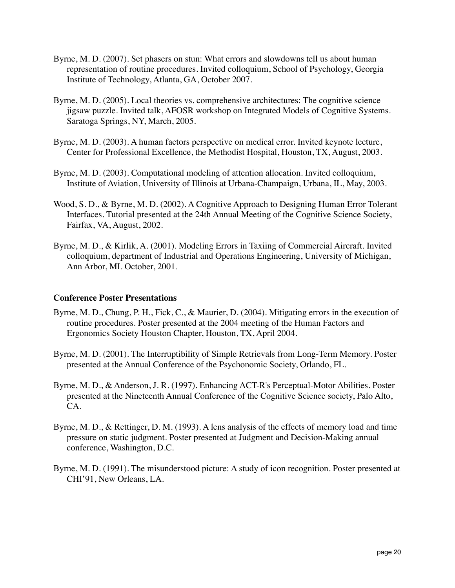- Byrne, M. D. (2007). Set phasers on stun: What errors and slowdowns tell us about human representation of routine procedures. Invited colloquium, School of Psychology, Georgia Institute of Technology, Atlanta, GA, October 2007.
- Byrne, M. D. (2005). Local theories vs. comprehensive architectures: The cognitive science jigsaw puzzle. Invited talk, AFOSR workshop on Integrated Models of Cognitive Systems. Saratoga Springs, NY, March, 2005.
- Byrne, M. D. (2003). A human factors perspective on medical error. Invited keynote lecture, Center for Professional Excellence, the Methodist Hospital, Houston, TX, August, 2003.
- Byrne, M. D. (2003). Computational modeling of attention allocation. Invited colloquium, Institute of Aviation, University of Illinois at Urbana-Champaign, Urbana, IL, May, 2003.
- Wood, S. D., & Byrne, M. D. (2002). A Cognitive Approach to Designing Human Error Tolerant Interfaces. Tutorial presented at the 24th Annual Meeting of the Cognitive Science Society, Fairfax, VA, August, 2002.
- Byrne, M. D., & Kirlik, A. (2001). Modeling Errors in Taxiing of Commercial Aircraft. Invited colloquium, department of Industrial and Operations Engineering, University of Michigan, Ann Arbor, MI. October, 2001.

## **Conference Poster Presentations**

- Byrne, M. D., Chung, P. H., Fick, C., & Maurier, D. (2004). Mitigating errors in the execution of routine procedures. Poster presented at the 2004 meeting of the Human Factors and Ergonomics Society Houston Chapter, Houston, TX, April 2004.
- Byrne, M. D. (2001). The Interruptibility of Simple Retrievals from Long-Term Memory. Poster presented at the Annual Conference of the Psychonomic Society, Orlando, FL.
- Byrne, M. D., & Anderson, J. R. (1997). Enhancing ACT-R's Perceptual-Motor Abilities. Poster presented at the Nineteenth Annual Conference of the Cognitive Science society, Palo Alto, CA.
- Byrne, M. D., & Rettinger, D. M. (1993). A lens analysis of the effects of memory load and time pressure on static judgment. Poster presented at Judgment and Decision-Making annual conference, Washington, D.C.
- Byrne, M. D. (1991). The misunderstood picture: A study of icon recognition. Poster presented at CHI'91, New Orleans, LA.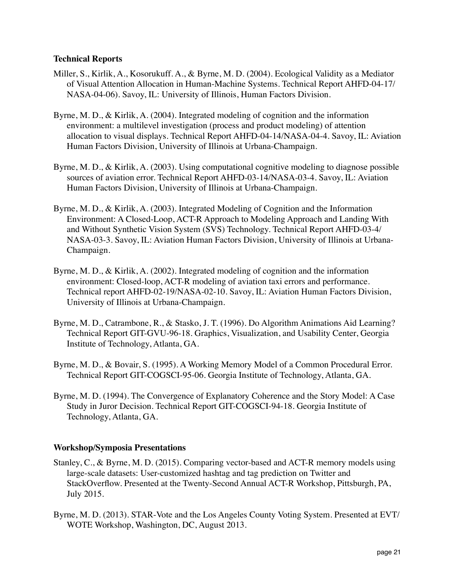## **Technical Reports**

- Miller, S., Kirlik, A., Kosorukuff. A., & Byrne, M. D. (2004). Ecological Validity as a Mediator of Visual Attention Allocation in Human-Machine Systems. Technical Report AHFD-04-17/ NASA-04-06). Savoy, IL: University of Illinois, Human Factors Division.
- Byrne, M. D., & Kirlik, A. (2004). Integrated modeling of cognition and the information environment: a multilevel investigation (process and product modeling) of attention allocation to visual displays. Technical Report AHFD-04-14/NASA-04-4. Savoy, IL: Aviation Human Factors Division, University of Illinois at Urbana-Champaign.
- Byrne, M. D., & Kirlik, A. (2003). Using computational cognitive modeling to diagnose possible sources of aviation error. Technical Report AHFD-03-14/NASA-03-4. Savoy, IL: Aviation Human Factors Division, University of Illinois at Urbana-Champaign.
- Byrne, M. D., & Kirlik, A. (2003). Integrated Modeling of Cognition and the Information Environment: A Closed-Loop, ACT-R Approach to Modeling Approach and Landing With and Without Synthetic Vision System (SVS) Technology. Technical Report AHFD-03-4/ NASA-03-3. Savoy, IL: Aviation Human Factors Division, University of Illinois at Urbana-Champaign.
- Byrne, M. D., & Kirlik, A. (2002). Integrated modeling of cognition and the information environment: Closed-loop, ACT-R modeling of aviation taxi errors and performance. Technical report AHFD-02-19/NASA-02-10. Savoy, IL: Aviation Human Factors Division, University of Illinois at Urbana-Champaign.
- Byrne, M. D., Catrambone, R., & Stasko, J. T. (1996). Do Algorithm Animations Aid Learning? Technical Report GIT-GVU-96-18. Graphics, Visualization, and Usability Center, Georgia Institute of Technology, Atlanta, GA.
- Byrne, M. D., & Bovair, S. (1995). A Working Memory Model of a Common Procedural Error. Technical Report GIT-COGSCI-95-06. Georgia Institute of Technology, Atlanta, GA.
- Byrne, M. D. (1994). The Convergence of Explanatory Coherence and the Story Model: A Case Study in Juror Decision. Technical Report GIT-COGSCI-94-18. Georgia Institute of Technology, Atlanta, GA.

# **Workshop/Symposia Presentations**

- Stanley, C., & Byrne, M. D. (2015). Comparing vector-based and ACT-R memory models using large-scale datasets: User-customized hashtag and tag prediction on Twitter and StackOverflow. Presented at the Twenty-Second Annual ACT-R Workshop, Pittsburgh, PA, July 2015.
- Byrne, M. D. (2013). STAR-Vote and the Los Angeles County Voting System. Presented at EVT/ WOTE Workshop, Washington, DC, August 2013.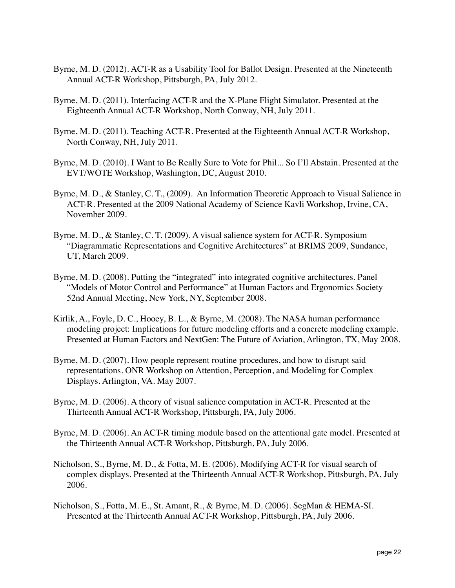- Byrne, M. D. (2012). ACT-R as a Usability Tool for Ballot Design. Presented at the Nineteenth Annual ACT-R Workshop, Pittsburgh, PA, July 2012.
- Byrne, M. D. (2011). Interfacing ACT-R and the X-Plane Flight Simulator. Presented at the Eighteenth Annual ACT-R Workshop, North Conway, NH, July 2011.
- Byrne, M. D. (2011). Teaching ACT-R. Presented at the Eighteenth Annual ACT-R Workshop, North Conway, NH, July 2011.
- Byrne, M. D. (2010). I Want to Be Really Sure to Vote for Phil... So I'll Abstain. Presented at the EVT/WOTE Workshop, Washington, DC, August 2010.
- Byrne, M. D., & Stanley, C. T., (2009). An Information Theoretic Approach to Visual Salience in ACT-R. Presented at the 2009 National Academy of Science Kavli Workshop, Irvine, CA, November 2009.
- Byrne, M. D., & Stanley, C. T. (2009). A visual salience system for ACT-R. Symposium "Diagrammatic Representations and Cognitive Architectures" at BRIMS 2009, Sundance, UT, March 2009.
- Byrne, M. D. (2008). Putting the "integrated" into integrated cognitive architectures. Panel "Models of Motor Control and Performance" at Human Factors and Ergonomics Society 52nd Annual Meeting, New York, NY, September 2008.
- Kirlik, A., Foyle, D. C., Hooey, B. L., & Byrne, M. (2008). The NASA human performance modeling project: Implications for future modeling efforts and a concrete modeling example. Presented at Human Factors and NextGen: The Future of Aviation, Arlington, TX, May 2008.
- Byrne, M. D. (2007). How people represent routine procedures, and how to disrupt said representations. ONR Workshop on Attention, Perception, and Modeling for Complex Displays. Arlington, VA. May 2007.
- Byrne, M. D. (2006). A theory of visual salience computation in ACT-R. Presented at the Thirteenth Annual ACT-R Workshop, Pittsburgh, PA, July 2006.
- Byrne, M. D. (2006). An ACT-R timing module based on the attentional gate model. Presented at the Thirteenth Annual ACT-R Workshop, Pittsburgh, PA, July 2006.
- Nicholson, S., Byrne, M. D., & Fotta, M. E. (2006). Modifying ACT-R for visual search of complex displays. Presented at the Thirteenth Annual ACT-R Workshop, Pittsburgh, PA, July 2006.
- Nicholson, S., Fotta, M. E., St. Amant, R., & Byrne, M. D. (2006). SegMan & HEMA-SI. Presented at the Thirteenth Annual ACT-R Workshop, Pittsburgh, PA, July 2006.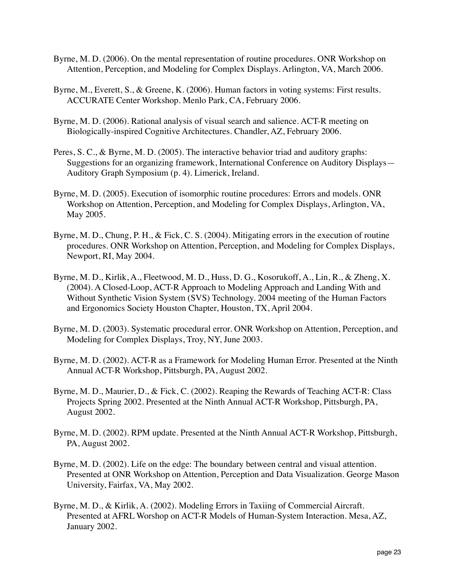- Byrne, M. D. (2006). On the mental representation of routine procedures. ONR Workshop on Attention, Perception, and Modeling for Complex Displays. Arlington, VA, March 2006.
- Byrne, M., Everett, S., & Greene, K. (2006). Human factors in voting systems: First results. ACCURATE Center Workshop. Menlo Park, CA, February 2006.
- Byrne, M. D. (2006). Rational analysis of visual search and salience. ACT-R meeting on Biologically-inspired Cognitive Architectures. Chandler, AZ, February 2006.
- Peres, S. C., & Byrne, M. D. (2005). The interactive behavior triad and auditory graphs: Suggestions for an organizing framework, International Conference on Auditory Displays— Auditory Graph Symposium (p. 4). Limerick, Ireland.
- Byrne, M. D. (2005). Execution of isomorphic routine procedures: Errors and models. ONR Workshop on Attention, Perception, and Modeling for Complex Displays, Arlington, VA, May 2005.
- Byrne, M. D., Chung, P. H., & Fick, C. S. (2004). Mitigating errors in the execution of routine procedures. ONR Workshop on Attention, Perception, and Modeling for Complex Displays, Newport, RI, May 2004.
- Byrne, M. D., Kirlik, A., Fleetwood, M. D., Huss, D. G., Kosorukoff, A., Lin, R., & Zheng, X. (2004). A Closed-Loop, ACT-R Approach to Modeling Approach and Landing With and Without Synthetic Vision System (SVS) Technology. 2004 meeting of the Human Factors and Ergonomics Society Houston Chapter, Houston, TX, April 2004.
- Byrne, M. D. (2003). Systematic procedural error. ONR Workshop on Attention, Perception, and Modeling for Complex Displays, Troy, NY, June 2003.
- Byrne, M. D. (2002). ACT-R as a Framework for Modeling Human Error. Presented at the Ninth Annual ACT-R Workshop, Pittsburgh, PA, August 2002.
- Byrne, M. D., Maurier, D., & Fick, C. (2002). Reaping the Rewards of Teaching ACT-R: Class Projects Spring 2002. Presented at the Ninth Annual ACT-R Workshop, Pittsburgh, PA, August 2002.
- Byrne, M. D. (2002). RPM update. Presented at the Ninth Annual ACT-R Workshop, Pittsburgh, PA, August 2002.
- Byrne, M. D. (2002). Life on the edge: The boundary between central and visual attention. Presented at ONR Workshop on Attention, Perception and Data Visualization. George Mason University, Fairfax, VA, May 2002.
- Presented at AFRL Worshop on ACT-R Models of Human-System Interaction. Mesa, AZ, Byrne, M. D., & Kirlik, A. (2002). Modeling Errors in Taxiing of Commercial Aircraft. January 2002.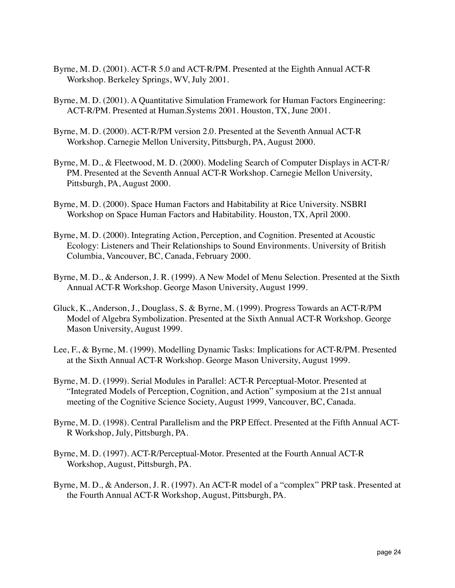- Byrne, M. D. (2001). ACT-R 5.0 and ACT-R/PM. Presented at the Eighth Annual ACT-R Workshop. Berkeley Springs, WV, July 2001.
- Byrne, M. D. (2001). A Quantitative Simulation Framework for Human Factors Engineering: ACT-R/PM. Presented at Human.Systems 2001. Houston, TX, June 2001.
- Byrne, M. D. (2000). ACT-R/PM version 2.0. Presented at the Seventh Annual ACT-R Workshop. Carnegie Mellon University, Pittsburgh, PA, August 2000.
- Byrne, M. D., & Fleetwood, M. D. (2000). Modeling Search of Computer Displays in ACT-R/ PM. Presented at the Seventh Annual ACT-R Workshop. Carnegie Mellon University, Pittsburgh, PA, August 2000.
- Byrne, M. D. (2000). Space Human Factors and Habitability at Rice University. NSBRI Workshop on Space Human Factors and Habitability. Houston, TX, April 2000.
- Byrne, M. D. (2000). Integrating Action, Perception, and Cognition. Presented at Acoustic Ecology: Listeners and Their Relationships to Sound Environments. University of British Columbia, Vancouver, BC, Canada, February 2000.
- Byrne, M. D., & Anderson, J. R. (1999). A New Model of Menu Selection. Presented at the Sixth Annual ACT-R Workshop. George Mason University, August 1999.
- Gluck, K., Anderson, J., Douglass, S. & Byrne, M. (1999). Progress Towards an ACT-R/PM Model of Algebra Symbolization. Presented at the Sixth Annual ACT-R Workshop. George Mason University, August 1999.
- Lee, F., & Byrne, M. (1999). Modelling Dynamic Tasks: Implications for ACT-R/PM. Presented at the Sixth Annual ACT-R Workshop. George Mason University, August 1999.
- Byrne, M. D. (1999). Serial Modules in Parallel: ACT-R Perceptual-Motor. Presented at "Integrated Models of Perception, Cognition, and Action" symposium at the 21st annual meeting of the Cognitive Science Society, August 1999, Vancouver, BC, Canada.
- Byrne, M. D. (1998). Central Parallelism and the PRP Effect. Presented at the Fifth Annual ACT-R Workshop, July, Pittsburgh, PA.
- Byrne, M. D. (1997). ACT-R/Perceptual-Motor. Presented at the Fourth Annual ACT-R Workshop, August, Pittsburgh, PA.
- Byrne, M. D., & Anderson, J. R. (1997). An ACT-R model of a "complex" PRP task. Presented at the Fourth Annual ACT-R Workshop, August, Pittsburgh, PA.